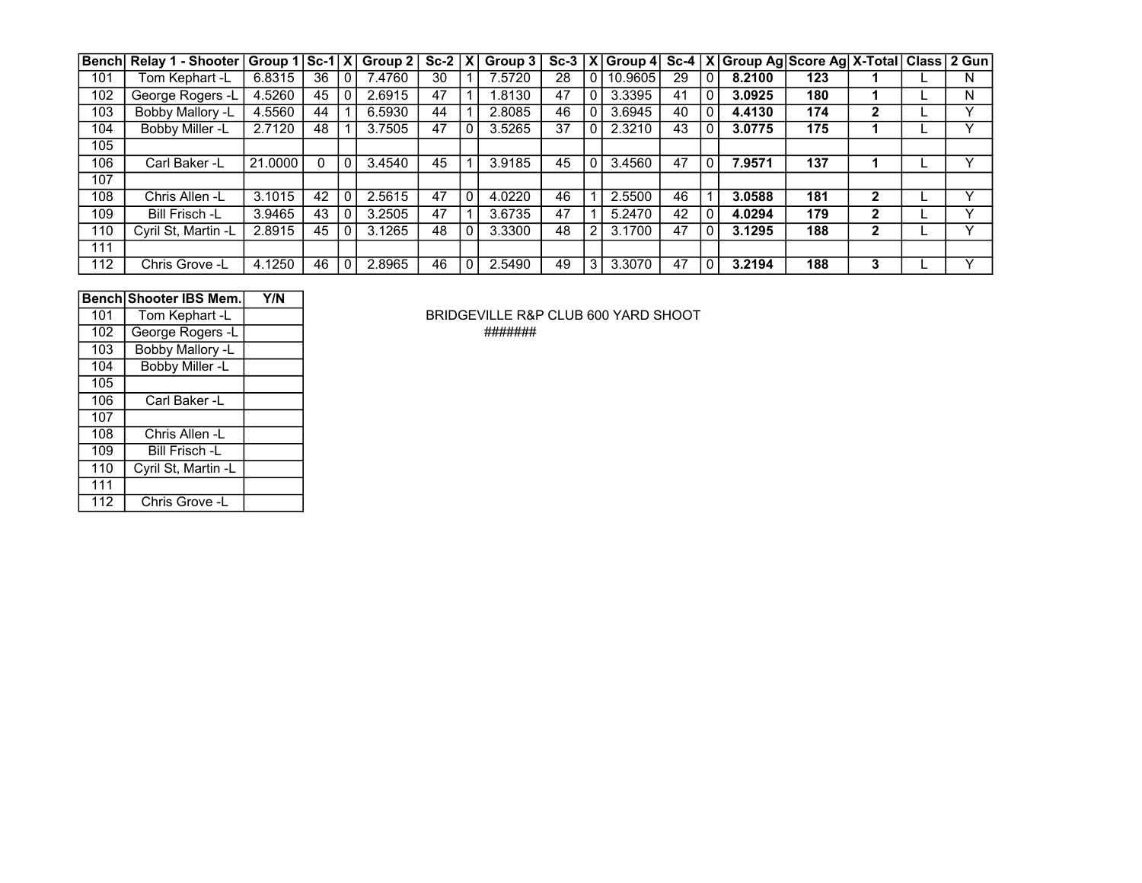|     | Bench Relay 1 - Shooter | $ $ Group 1 $ $ Sc-1 $ X $ |    |              | Group 2 | $Sc-2 X $ |   | Group 3 |    |          |         |    |              | Sc-3   X   Group 4   Sc-4   X   Group Ag   Score Ag   X-Total   Class   2 Gun |     |              |   |
|-----|-------------------------|----------------------------|----|--------------|---------|-----------|---|---------|----|----------|---------|----|--------------|-------------------------------------------------------------------------------|-----|--------------|---|
| 101 | Tom Kephart -L          | 6.8315                     | 36 | $\mathbf{0}$ | 7.4760  | 30        |   | 7.5720  | 28 | $\Omega$ | 10.9605 | 29 | $\mathbf{0}$ | 8.2100                                                                        | 123 |              | N |
| 102 | George Rogers -L        | 4.5260                     | 45 | 0            | 2.6915  | 47        |   | .8130   | 47 | 0        | 3.3395  | 41 |              | 3.0925                                                                        | 180 |              | N |
| 103 | Bobby Mallory -L        | 4.5560                     | 44 |              | 6.5930  | 44        |   | 2.8085  | 46 | 0        | 3.6945  | 40 |              | 4.4130                                                                        | 174 | 2            |   |
| 104 | Bobby Miller -L         | 2.7120                     | 48 |              | 3.7505  | 47        |   | 3.5265  | 37 | 0        | 2.3210  | 43 |              | 3.0775                                                                        | 175 |              |   |
| 105 |                         |                            |    |              |         |           |   |         |    |          |         |    |              |                                                                               |     |              |   |
| 106 | Carl Baker -L           | 21.0000                    |    | $\mathbf{0}$ | 3.4540  | 45        |   | 3.9185  | 45 | 0        | 3.4560  | 47 | $\mathbf 0$  | 7.9571                                                                        | 137 |              |   |
| 107 |                         |                            |    |              |         |           |   |         |    |          |         |    |              |                                                                               |     |              |   |
| 108 | Chris Allen -L          | 3.1015                     | 42 | 0            | 2.5615  | 47        | 0 | 4.0220  | 46 |          | 2.5500  | 46 |              | 3.0588                                                                        | 181 | 2            | v |
| 109 | Bill Frisch -L          | 3.9465                     | 43 | 0            | 3.2505  | 47        |   | 3.6735  | 47 |          | 5.2470  | 42 |              | 4.0294                                                                        | 179 | 2            |   |
| 110 | Cyril St, Martin -L     | 2.8915                     | 45 | 0            | 3.1265  | 48        | 0 | 3.3300  | 48 | 2        | 3.1700  | 47 |              | 3.1295                                                                        | 188 | $\mathbf{2}$ |   |
| 111 |                         |                            |    |              |         |           |   |         |    |          |         |    |              |                                                                               |     |              |   |
| 112 | Chris Grove -L          | 4.1250                     | 46 | 0            | 2.8965  | 46        | 0 | 2.5490  | 49 | 3        | 3.3070  | 47 | $\mathbf 0$  | 3.2194                                                                        | 188 | 3            |   |

|     | <b>Bench Shooter IBS Mem.</b> | Y/N |
|-----|-------------------------------|-----|
| 101 | Tom Kephart -L                |     |
| 102 | George Rogers -L              |     |
| 103 | Bobby Mallory -L              |     |
| 104 | Bobby Miller -L               |     |
| 105 |                               |     |
| 106 | Carl Baker -L                 |     |
| 107 |                               |     |
| 108 | Chris Allen -L                |     |
| 109 | Bill Frisch -L                |     |
| 110 | Cyril St, Martin -L           |     |
| 111 |                               |     |
| 112 | Chris Grove -L                |     |

BRIDGEVILLE R&P CLUB 600 YARD SHOOT George Rogers -L #######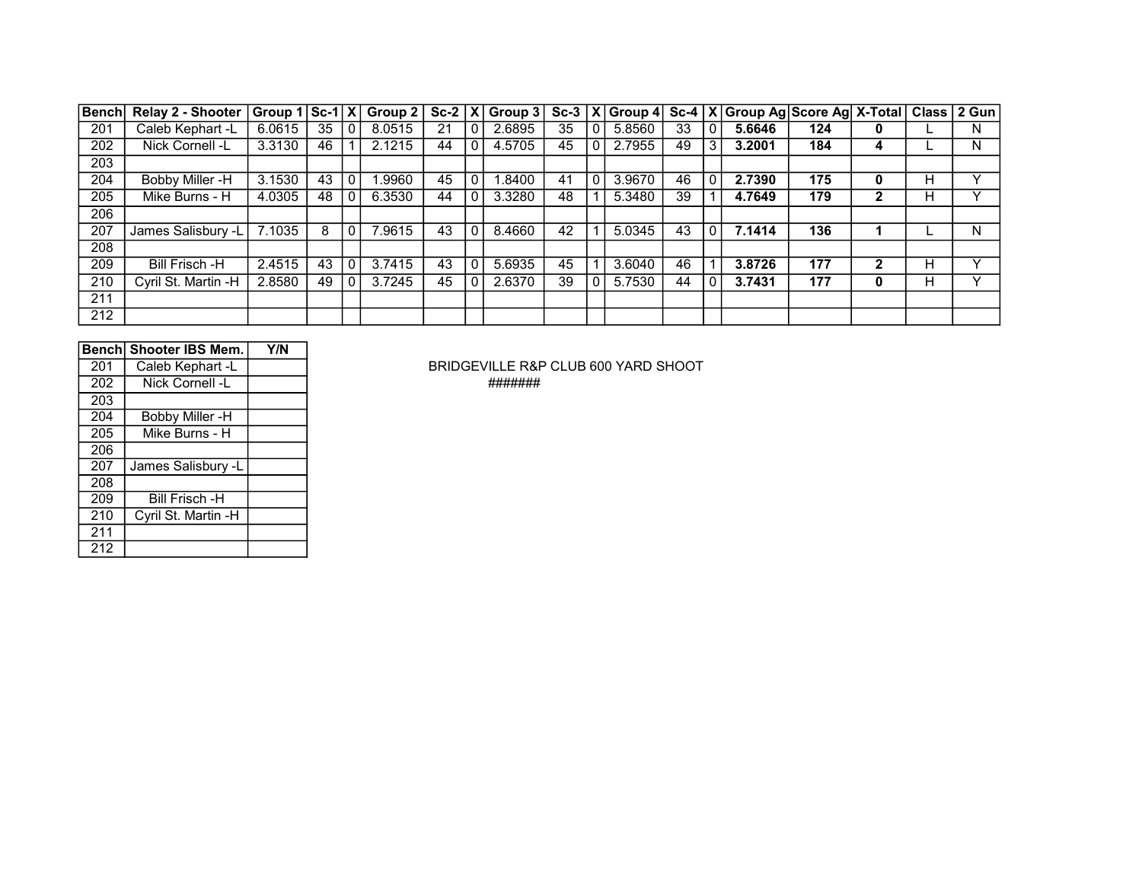| <b>Bench</b> | Relay 2 - Shooter   Group 1 |        | $ Sc-1 X $ |              | Group 2 | $Sc-2$ $ \chi $ |              | $ $ Group 3 |    |                | $\overline{Sc-3  X }$ Group 4 |    |              | Sc-4   X   Group Ag   Score Ag   X-Total |     |              |   | Class 2 Gun  |
|--------------|-----------------------------|--------|------------|--------------|---------|-----------------|--------------|-------------|----|----------------|-------------------------------|----|--------------|------------------------------------------|-----|--------------|---|--------------|
| 201          | Caleb Kephart -L            | 6.0615 | 35         | 0            | 8.0515  | 21              | 0            | 2.6895      | 35 | $\overline{0}$ | 5.8560                        | 33 | $\mathbf{0}$ | 5.6646                                   | 124 | 0            |   | N            |
| 202          | Nick Cornell -L             | 3.3130 | 46         |              | 2.1215  | 44              | $\mathbf{0}$ | 4.5705      | 45 | 0              | 2.7955                        | 49 | 3            | 3.2001                                   | 184 | 4            |   | N            |
| 203          |                             |        |            |              |         |                 |              |             |    |                |                               |    |              |                                          |     |              |   |              |
| 204          | Bobby Miller -H             | 3.1530 | 43         | $\mathbf{0}$ | .9960   | 45              | $\mathbf{0}$ | .8400       | 41 | $\overline{0}$ | 3.9670                        | 46 |              | 2.7390                                   | 175 | 0            | н | $\checkmark$ |
| 205          | Mike Burns - H              | 4.0305 | 48         | $\mathbf{0}$ | 6.3530  | 44              | 0            | 3.3280      | 48 |                | 5.3480                        | 39 |              | 4.7649                                   | 179 | 2            | н |              |
| 206          |                             |        |            |              |         |                 |              |             |    |                |                               |    |              |                                          |     |              |   |              |
| 207          | James Salisbury -L          | 7.1035 | 8          | 0            | .9615   | 43              | $\mathbf{0}$ | 8.4660      | 42 |                | 5.0345                        | 43 | $\mathbf{0}$ | 7.1414                                   | 136 |              |   | N            |
| 208          |                             |        |            |              |         |                 |              |             |    |                |                               |    |              |                                          |     |              |   |              |
| 209          | Bill Frisch -H              | 2.4515 | 43         | $\mathbf{0}$ | 3.7415  | 43              | $\mathbf{0}$ | 5.6935      | 45 |                | 3.6040                        | 46 |              | 3.8726                                   | 177 | $\mathbf{2}$ | н | $\checkmark$ |
| 210          | Cyril St. Martin -H         | 2.8580 | 49         | 0            | 3.7245  | 45              | $\mathbf{0}$ | 2.6370      | 39 | $\Omega$       | 5.7530                        | 44 | 0            | 3.7431                                   | 177 | 0            | н | $\checkmark$ |
| 211          |                             |        |            |              |         |                 |              |             |    |                |                               |    |              |                                          |     |              |   |              |
| 212          |                             |        |            |              |         |                 |              |             |    |                |                               |    |              |                                          |     |              |   |              |

|     | Benchl Shooter IBS Mem. | Y/N |
|-----|-------------------------|-----|
| 201 | Caleb Kephart -L        |     |
| 202 | Nick Cornell -L         |     |
| 203 |                         |     |
| 204 | <b>Bobby Miller -H</b>  |     |
| 205 | Mike Burns - H          |     |
| 206 |                         |     |
| 207 | James Salisbury -L      |     |
| 208 |                         |     |
| 209 | <b>Bill Frisch -H</b>   |     |
| 210 | Cyril St. Martin -H     |     |
| 211 |                         |     |
| 212 |                         |     |

BRIDGEVILLE R&P CLUB 600 YARD SHOOT Nick Cornell -L #######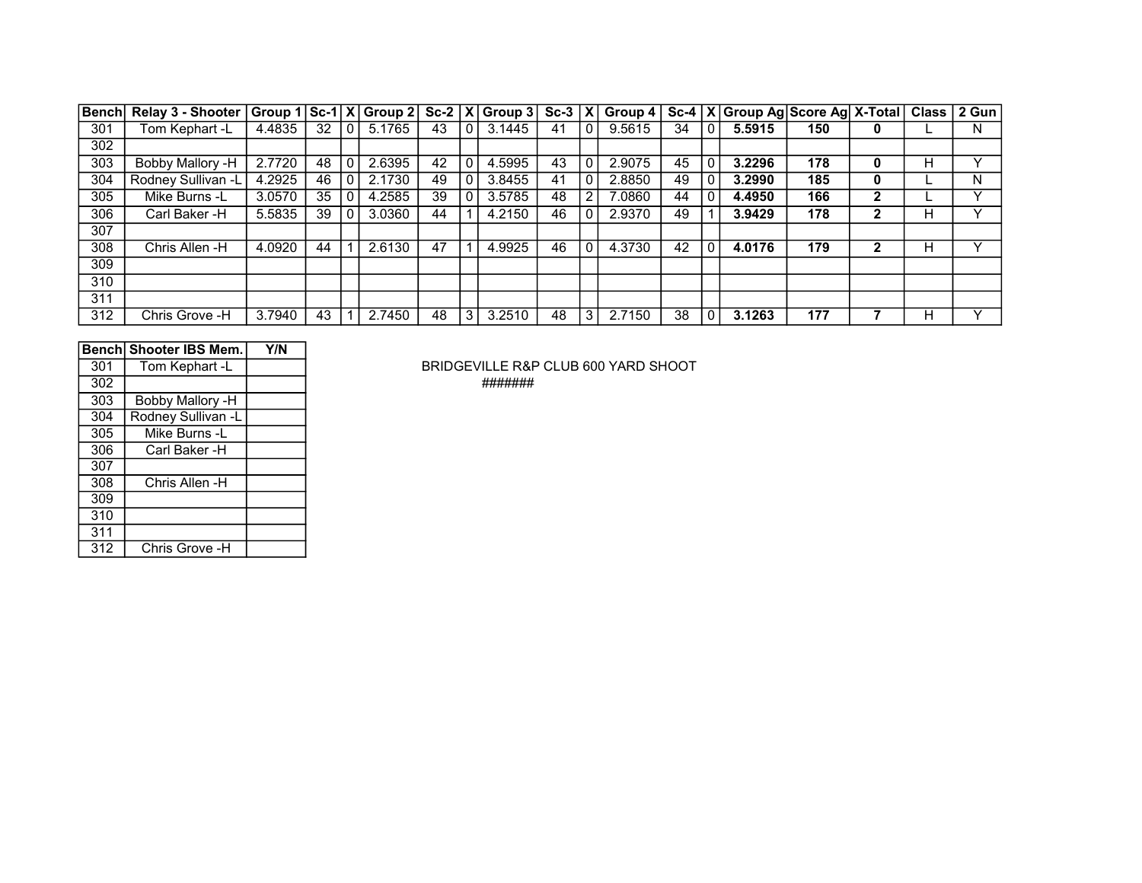| Bench | <b>Relay 3 - Shooter</b> | $ Group 1 Sc-1 X Group 2 Sc-2 X Group 3 Sc-3 X$ |    |          |        |    |   |        |    |             | Group $4$ |    |              | Sc-4   X   Group Ag   Score Ag   X-Total   Class   2 Gun |     |   |   |   |
|-------|--------------------------|-------------------------------------------------|----|----------|--------|----|---|--------|----|-------------|-----------|----|--------------|----------------------------------------------------------|-----|---|---|---|
| 301   | Tom Kephart -L           | 4.4835                                          | 32 | $\Omega$ | 5.1765 | 43 |   | 3.1445 | 41 | $\mathbf 0$ | 9.5615    | 34 | $\mathbf{0}$ | 5.5915                                                   | 150 | 0 |   | N |
| 302   |                          |                                                 |    |          |        |    |   |        |    |             |           |    |              |                                                          |     |   |   |   |
| 303   | Bobby Mallory -H         | 2.7720                                          | 48 | 0        | 2.6395 | 42 |   | 4.5995 | 43 | $\Omega$    | 2.9075    | 45 |              | 3.2296                                                   | 178 | 0 |   |   |
| 304   | Rodney Sullivan -L       | 4.2925                                          | 46 | 0        | 2.1730 | 49 |   | 3.8455 | 41 | $\Omega$    | 2.8850    | 49 |              | 3.2990                                                   | 185 | 0 |   | N |
| 305   | Mike Burns -L            | 3.0570                                          | 35 | 0        | 4.2585 | 39 |   | 3.5785 | 48 | 2           | 7.0860    | 44 | $\Omega$     | 4.4950                                                   | 166 | 2 |   |   |
| 306   | Carl Baker -H            | 5.5835                                          | 39 | 0        | 3.0360 | 44 |   | 4.2150 | 46 | 0           | 2.9370    | 49 |              | 3.9429                                                   | 178 | 2 | н |   |
| 307   |                          |                                                 |    |          |        |    |   |        |    |             |           |    |              |                                                          |     |   |   |   |
| 308   | Chris Allen -H           | 4.0920                                          | 44 |          | 2.6130 | 47 |   | 4.9925 | 46 | $\mathbf 0$ | 4.3730    | 42 | $\mathbf{0}$ | 4.0176                                                   | 179 | 2 | н |   |
| 309   |                          |                                                 |    |          |        |    |   |        |    |             |           |    |              |                                                          |     |   |   |   |
| 310   |                          |                                                 |    |          |        |    |   |        |    |             |           |    |              |                                                          |     |   |   |   |
| 311   |                          |                                                 |    |          |        |    |   |        |    |             |           |    |              |                                                          |     |   |   |   |
| 312   | Chris Grove -H           | 3.7940                                          | 43 |          | 2.7450 | 48 | 3 | 3.2510 | 48 | 3           | 2.7150    | 38 | $\mathbf{0}$ | 3.1263                                                   | 177 |   | н |   |

|     | Bench Shooter IBS Mem. | Y/N |
|-----|------------------------|-----|
| 301 | Tom Kephart -L         |     |
| 302 |                        |     |
| 303 | Bobby Mallory -H       |     |
| 304 | Rodney Sullivan -L     |     |
| 305 | Mike Burns -L          |     |
| 306 | Carl Baker -H          |     |
| 307 |                        |     |
| 308 | Chris Allen -H         |     |
| 309 |                        |     |
| 310 |                        |     |
| 311 |                        |     |
| 312 | Chris Grove -H         |     |

BRIDGEVILLE R&P CLUB 600 YARD SHOOT #######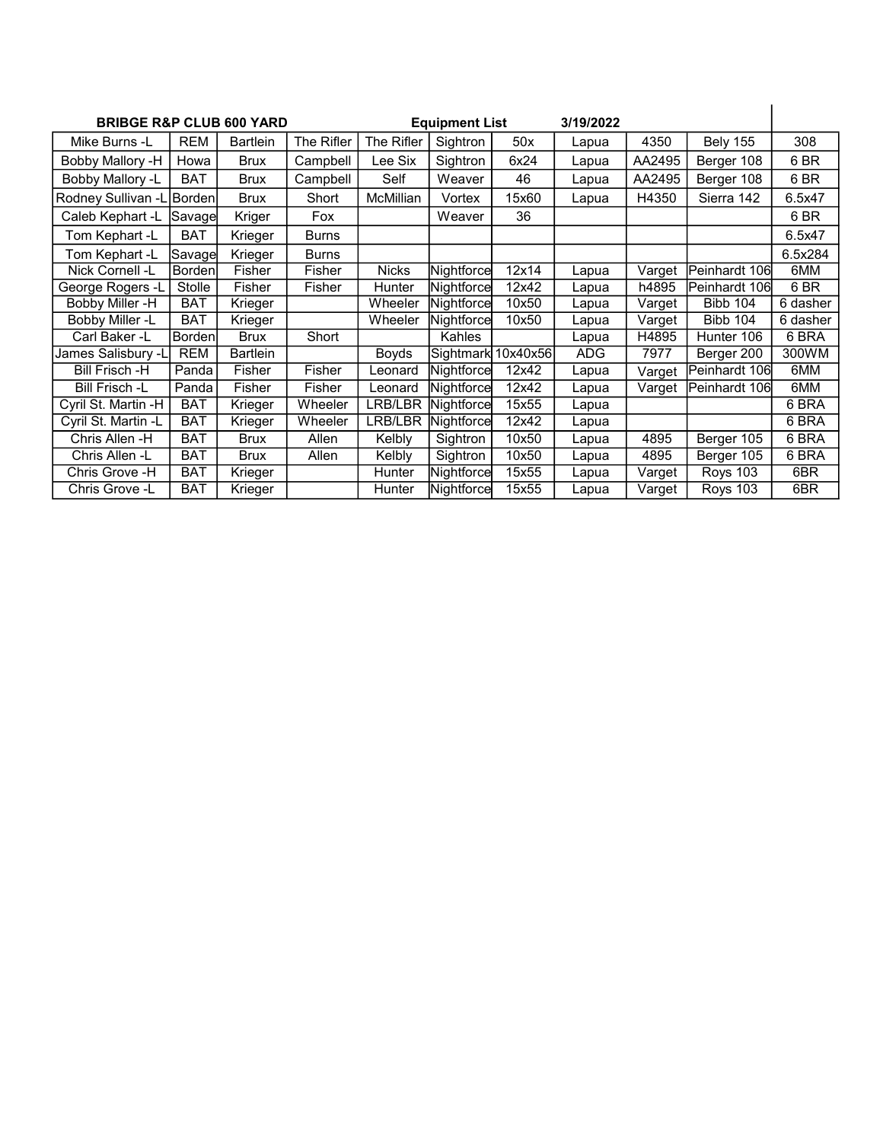| <b>BRIBGE R&amp;P CLUB 600 YARD</b> |                |                 |              |                  | <b>Equipment List</b> |       | 3/19/2022  |        |                 |          |
|-------------------------------------|----------------|-----------------|--------------|------------------|-----------------------|-------|------------|--------|-----------------|----------|
| Mike Burns -L                       | <b>REM</b>     | <b>Bartlein</b> | The Rifler   | The Rifler       | Sightron              | 50x   | Lapua      | 4350   | <b>Bely 155</b> | 308      |
| Bobby Mallory -H                    | Howa           | <b>Brux</b>     | Campbell     | Lee Six          | Sightron              | 6x24  | Lapua      | AA2495 | Berger 108      | 6 BR     |
| Bobby Mallory -L                    | <b>BAT</b>     | <b>Brux</b>     | Campbell     | Self             | Weaver                | 46    | Lapua      | AA2495 | Berger 108      | 6 BR     |
| Rodney Sullivan -L Borden           |                | <b>Brux</b>     | Short        | <b>McMillian</b> | Vortex                | 15x60 | Lapua      | H4350  | Sierra 142      | 6.5x47   |
| Caleb Kephart -L                    | Savage         | Kriger          | Fox          |                  | Weaver                | 36    |            |        |                 | 6 BR     |
| Tom Kephart -L                      | <b>BAT</b>     | Krieger         | <b>Burns</b> |                  |                       |       |            |        |                 | 6.5x47   |
| Tom Kephart -L                      | Savage         | Krieger         | <b>Burns</b> |                  |                       |       |            |        |                 | 6.5x284  |
| Nick Cornell -L                     | Bordenl        | Fisher          | Fisher       | <b>Nicks</b>     | Nightforce            | 12x14 | Lapua      | Varget | Peinhardt 106   | 6MM      |
| George Rogers -L                    | Stolle         | Fisher          | Fisher       | Hunter           | Nightforce            | 12x42 | Lapua      | h4895  | Peinhardt 106   | 6 BR     |
| Bobby Miller -H                     | <b>BAT</b>     | Krieger         |              | Wheeler          | Nightforce            | 10x50 | Lapua      | Varget | <b>Bibb 104</b> | 6 dasher |
| <b>Bobby Miller -L</b>              | <b>BAT</b>     | Krieger         |              | Wheeler          | Nightforce            | 10x50 | Lapua      | Varget | <b>Bibb 104</b> | 6 dasher |
| Carl Baker -L                       | <b>Bordenl</b> | <b>Brux</b>     | Short        |                  | Kahles                |       | Lapua      | H4895  | Hunter 106      | 6 BRA    |
| James Salisbury -L                  | <b>REM</b>     | <b>Bartlein</b> |              | Boyds            | Sightmark 10x40x56    |       | <b>ADG</b> | 7977   | Berger 200      | 300WM    |
| <b>Bill Frisch -H</b>               | Panda          | Fisher          | Fisher       | Leonard          | Nightforce            | 12x42 | Lapua      | Varget | Peinhardt 106   | 6MM      |
| <b>Bill Frisch -L</b>               | Panda          | Fisher          | Fisher       | Leonard          | Nightforce            | 12x42 | Lapua      | Varget | Peinhardt 106   | 6MM      |
| Cyril St. Martin -H                 | <b>BAT</b>     | Krieger         | Wheeler      | LRB/LBR          | Nightforce            | 15x55 | Lapua      |        |                 | 6 BRA    |
| Cyril St. Martin -L                 | <b>BAT</b>     | Krieger         | Wheeler      | LRB/LBR          | Nightforce            | 12x42 | Lapua      |        |                 | 6 BRA    |
| Chris Allen -H                      | <b>BAT</b>     | <b>Brux</b>     | Allen        | Kelbly           | Sightron              | 10x50 | Lapua      | 4895   | Berger 105      | 6 BRA    |
| Chris Allen -L                      | BAT            | <b>Brux</b>     | Allen        | Kelbly           | Sightron              | 10x50 | Lapua      | 4895   | Berger 105      | 6 BRA    |
| Chris Grove -H                      | <b>BAT</b>     | Krieger         |              | Hunter           | Nightforce            | 15x55 | Lapua      | Varget | Roys 103        | 6BR      |
| Chris Grove -L                      | <b>BAT</b>     | Krieger         |              | Hunter           | Nightforce            | 15x55 | Lapua      | Varget | Roys 103        | 6BR      |